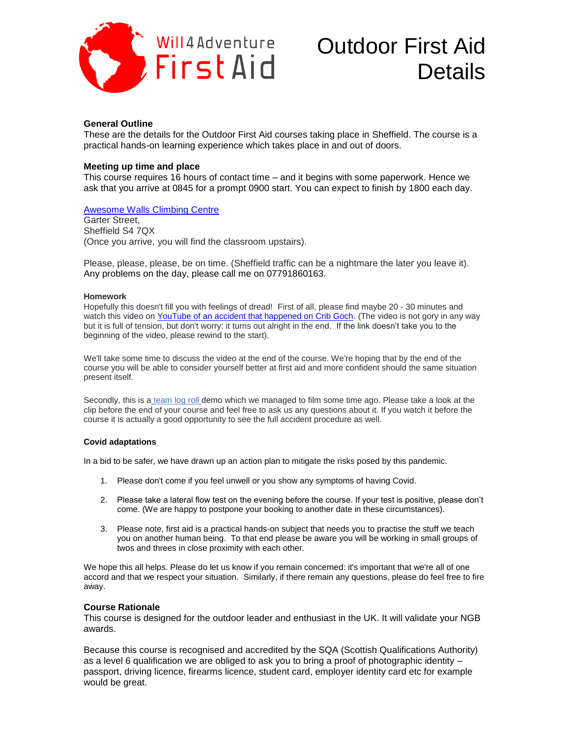

# Outdoor First Aid Will4Adventure Outdoor First Aid

## **General Outline**

These are the details for the Outdoor First Aid courses taking place in Sheffield. The course is a practical hands-on learning experience which takes place in and out of doors.

#### **Meeting up time and place**

This course requires 16 hours of contact time – and it begins with some paperwork. Hence we ask that you arrive at 0845 for a prompt 0900 start. You can expect to finish by 1800 each day.

#### [Awesome Walls Climbing Centre](https://www.google.com/maps/place/Awesome+Walls+Climbing+Centre,+Sheffield/@53.1765108,-1.9553679,10z/data=!4m8!1m2!2m1!1sAwesome+Walls+Climbing+Centre!3m4!1s0x0:0x8e6ad2cccbce464c!8m2!3d53.3998098!4d-1.4465046)

Garter Street, Sheffield S4 7QX (Once you arrive, you will find the classroom upstairs).

Please, please, please, be on time. (Sheffield traffic can be a nightmare the later you leave it). Any problems on the day, please call me on 07791860163.

#### **Homework**

Hopefully this doesn't fill you with feelings of dread! First of all, please find maybe 20 - 30 minutes and watch this video on YouTube of an [accident that happened on Crib Goch.](https://youtu.be/CRf7CnhOzXY) (The video is not gory in any way but it is full of tension, but don't worry: it turns out alright in the end. If the link doesn't take you to the beginning of the video, please rewind to the start).

We'll take some time to discuss the video at the end of the course. We're hoping that by the end of the course you will be able to consider yourself better at first aid and more confident should the same situation present itself.

Secondly, this is a [team log roll](https://youtu.be/P1O5pClXSYI) demo which we managed to film some time ago. Please take a look at the clip before the end of your course and feel free to ask us any questions about it. If you watch it before the course it is actually a good opportunity to see the full accident procedure as well.

#### **Covid adaptations**

In a bid to be safer, we have drawn up an action plan to mitigate the risks posed by this pandemic.

- 1. Please don't come if you feel unwell or you show any symptoms of having Covid.
- 2. Please take a lateral flow test on the evening before the course. If your test is positive, please don't come. (We are happy to postpone your booking to another date in these circumstances).
- 3. Please note, first aid is a practical hands-on subject that needs you to practise the stuff we teach you on another human being. To that end please be aware you will be working in small groups of twos and threes in close proximity with each other.

We hope this all helps. Please do let us know if you remain concerned: it's important that we're all of one accord and that we respect your situation. Similarly, if there remain any questions, please do feel free to fire away.

#### **Course Rationale**

This course is designed for the outdoor leader and enthusiast in the UK. It will validate your NGB awards.

Because this course is recognised and accredited by the SQA (Scottish Qualifications Authority) as a level 6 qualification we are obliged to ask you to bring a proof of photographic identity – passport, driving licence, firearms licence, student card, employer identity card etc for example would be great.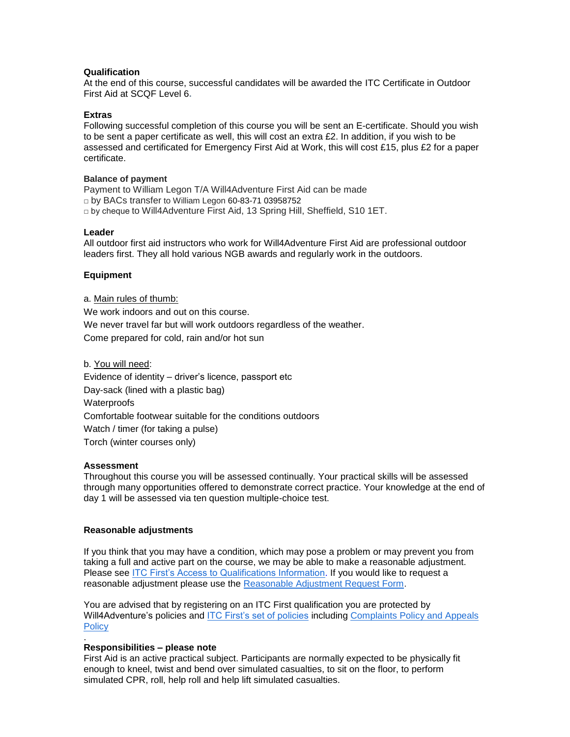# **Qualification**

At the end of this course, successful candidates will be awarded the ITC Certificate in Outdoor First Aid at SCQF Level 6**.**

# **Extras**

Following successful completion of this course you will be sent an E-certificate. Should you wish to be sent a paper certificate as well, this will cost an extra £2. In addition, if you wish to be assessed and certificated for Emergency First Aid at Work, this will cost £15, plus £2 for a paper certificate.

#### **Balance of payment**

Payment to William Legon T/A Will4Adventure First Aid can be made □ by BACs transfer to William Legon 60-83-71 03958752 □ by cheque to Will4Adventure First Aid, 13 Spring Hill, Sheffield, S10 1ET.

#### **Leader**

All outdoor first aid instructors who work for Will4Adventure First Aid are professional outdoor leaders first. They all hold various NGB awards and regularly work in the outdoors.

## **Equipment**

a. Main rules of thumb: We work indoors and out on this course. We never travel far but will work outdoors regardless of the weather. Come prepared for cold, rain and/or hot sun

b. You will need: Evidence of identity – driver's licence, passport etc Day-sack (lined with a plastic bag) **Waterproofs** Comfortable footwear suitable for the conditions outdoors Watch / timer (for taking a pulse) Torch (winter courses only)

## **Assessment**

.

Throughout this course you will be assessed continually. Your practical skills will be assessed through many opportunities offered to demonstrate correct practice. Your knowledge at the end of day 1 will be assessed via ten question multiple-choice test.

## **Reasonable adjustments**

If you think that you may have a condition, which may pose a problem or may prevent you from taking a full and active part on the course, we may be able to make a reasonable adjustment. Please see [ITC First's Access to Qualifications Information.](https://www.itcfirst.org.uk/policies/access-to-qualifications--reasonable-adjustments--special-considerations/5.htm) If you would like to request a reasonable adjustment please use the [Reasonable Adjustment Request Form.](https://www.itcfirst.org.uk/policies/procedures--forms/2.htm)

You are advised that by registering on an ITC First qualification you are protected by Will4Adventure's policies and [ITC First's set of policies](https://www.itcfirst.org.uk/policies/policies/1.htm) including [Complaints Policy and Appeals](https://www.itcfirst.org.uk/policies/policies/1.htm)  **[Policy](https://www.itcfirst.org.uk/policies/policies/1.htm)** 

## **Responsibilities – please note**

First Aid is an active practical subject. Participants are normally expected to be physically fit enough to kneel, twist and bend over simulated casualties, to sit on the floor, to perform simulated CPR, roll, help roll and help lift simulated casualties.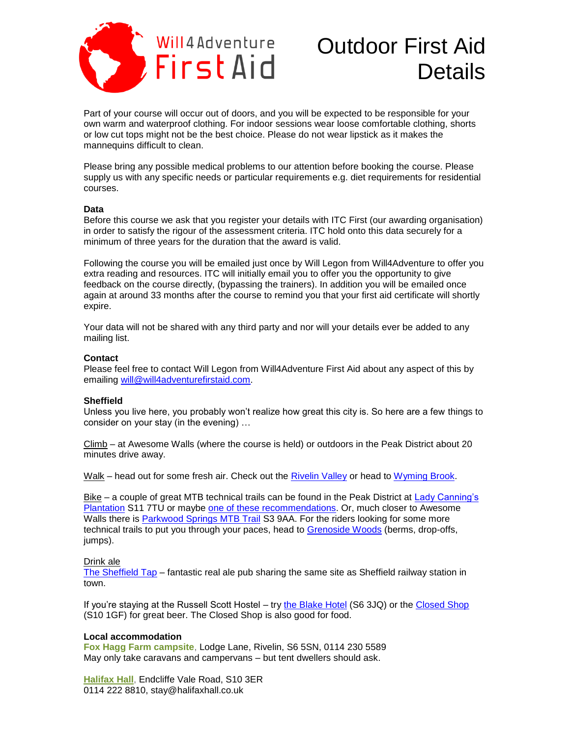

# Outdoor First Aid Nilla Adventure Outdoor First Aid<br>First Aid Details

Part of your course will occur out of doors, and you will be expected to be responsible for your own warm and waterproof clothing. For indoor sessions wear loose comfortable clothing, shorts or low cut tops might not be the best choice. Please do not wear lipstick as it makes the mannequins difficult to clean.

Please bring any possible medical problems to our attention before booking the course. Please supply us with any specific needs or particular requirements e.g. diet requirements for residential courses.

## **Data**

Before this course we ask that you register your details with ITC First (our awarding organisation) in order to satisfy the rigour of the assessment criteria. ITC hold onto this data securely for a minimum of three years for the duration that the award is valid.

Following the course you will be emailed just once by Will Legon from Will4Adventure to offer you extra reading and resources. ITC will initially email you to offer you the opportunity to give feedback on the course directly, (bypassing the trainers). In addition you will be emailed once again at around 33 months after the course to remind you that your first aid certificate will shortly expire.

Your data will not be shared with any third party and nor will your details ever be added to any mailing list.

## **Contact**

Please feel free to contact Will Legon from Will4Adventure First Aid about any aspect of this by emailing [will@will4adventurefirstaid.com.](mailto:will@will4adventurefirstaid.com)

## **Sheffield**

Unless you live here, you probably won't realize how great this city is. So here are a few things to consider on your stay (in the evening) …

Climb – at Awesome Walls (where the course is held) or outdoors in the Peak District about 20 minutes drive away.

Walk – head out for some fresh air. Check out the [Rivelin Valley](https://www.google.com/maps/place/Rivelin+Valley+Conservation+Group/@53.3814602,-1.5658528,17z/data=!3m1!4b1!4m5!3m4!1s0x487978b9959c246b:0xb3e7cb5d34cf2cdd!8m2!3d53.3814602!4d-1.5636588) or head to [Wyming Brook.](https://www.google.com/maps/place/Wyming+Brook+Nature+Reserve/@53.3693756,-1.5984624,17z/data=!3m1!4b1!4m5!3m4!1s0x48798024cc4556ed:0xdbc4811241858399!8m2!3d53.3693756!4d-1.5962684)

Bike – a couple of great MTB technical trails can be found in the Peak District at [Lady Canning's](https://www.google.com/maps/place/Lady+Canning)  [Plantation](https://www.google.com/maps/place/Lady+Canning) S11 7TU or maybe [one of these recommendations.](https://will4adventure.com/peak-district-mountain-biking-trails/) Or, much closer to Awesome Walls there is [Parkwood Springs MTB Trail](https://www.google.com/maps/place/Parkwood+Springs+Mountain+Bike+Trail/@53.3917918,-1.4906822,15z/data=!4m12!1m6!3m5!1s0x0:0xb62750b46eeb9e2f!2sLady+Canning) S3 9AA. For the riders looking for some more technical trails to put you through your paces, head to [Grenoside Woods](https://www.ridesheffield.org.uk/project/greno/) (berms, drop-offs, jumps).

## Drink ale

[The Sheffield Tap](http://www.sheffieldtap.com/) – fantastic real ale pub sharing the same site as Sheffield railway station in town.

If you're staying at the Russell Scott Hostel – try [the Blake Hotel](http://www.realale.co.uk/real-ale-pub-reviews/the-blake-hotel-sheffield/) (S6 3JQ) or the [Closed Shop](http://www.theclosedshopsheffield.co.uk/) (S10 1GF) for great beer. The Closed Shop is also good for food.

## **Local accommodation**

**Fox Hagg Farm [campsite](https://www.foxhaggfarm.com/)**, Lodge Lane, Rivelin, S6 5SN, 0114 230 5589 May only take caravans and campervans – but tent dwellers should ask.

**[Halifax](http://www.halifaxhall.co.uk/) Hall**, Endcliffe Vale Road, S10 3ER 0114 222 8810, stay@halifaxhall.co.uk